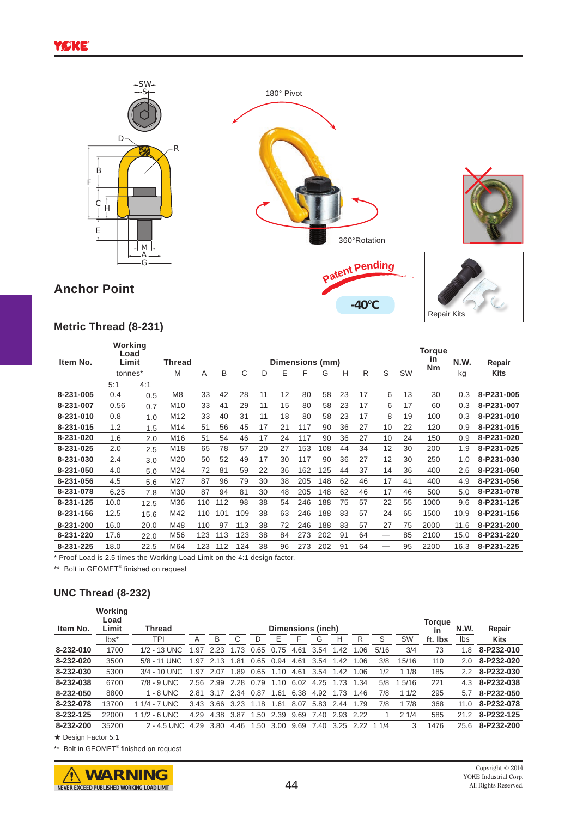

## **Metric Thread (8-231)**

| Item No.  | Working<br>Load<br>Limit |      | Thread          |     |     |     | Dimensions (mm) | <b>Torque</b><br>in | N.W. | Repair |    |    |    |    |           |      |             |
|-----------|--------------------------|------|-----------------|-----|-----|-----|-----------------|---------------------|------|--------|----|----|----|----|-----------|------|-------------|
|           | tonnes*                  |      | M               | Α   | B   | C   | D               | E                   | F    | G      | н  | R  | S  | SW | <b>Nm</b> | kg   | <b>Kits</b> |
|           | 5:1                      | 4:1  |                 |     |     |     |                 |                     |      |        |    |    |    |    |           |      |             |
| 8-231-005 | 0.4                      | 0.5  | M <sub>8</sub>  | 33  | 42  | 28  | 11              | 12                  | 80   | 58     | 23 | 17 | 6  | 13 | 30        | 0.3  | 8-P231-005  |
| 8-231-007 | 0.56                     | 0.7  | M <sub>10</sub> | 33  | 41  | 29  | 11              | 15                  | 80   | 58     | 23 | 17 | 6  | 17 | 60        | 0.3  | 8-P231-007  |
| 8-231-010 | 0.8                      | 1.0  | M <sub>12</sub> | 33  | 40  | 31  | 11              | 18                  | 80   | 58     | 23 | 17 | 8  | 19 | 100       | 0.3  | 8-P231-010  |
| 8-231-015 | 1.2                      | 1.5  | M14             | 51  | 56  | 45  | 17              | 21                  | 117  | 90     | 36 | 27 | 10 | 22 | 120       | 0.9  | 8-P231-015  |
| 8-231-020 | 1.6                      | 2.0  | M <sub>16</sub> | 51  | 54  | 46  | 17              | 24                  | 117  | 90     | 36 | 27 | 10 | 24 | 150       | 0.9  | 8-P231-020  |
| 8-231-025 | 2.0                      | 2.5  | M18             | 65  | 78  | 57  | 20              | 27                  | 153  | 108    | 44 | 34 | 12 | 30 | 200       | 1.9  | 8-P231-025  |
| 8-231-030 | 2.4                      | 3.0  | M20             | 50  | 52  | 49  | 17              | 30                  | 117  | 90     | 36 | 27 | 12 | 30 | 250       | 1.0  | 8-P231-030  |
| 8-231-050 | 4.0                      | 5.0  | M24             | 72  | 81  | 59  | 22              | 36                  | 162  | 125    | 44 | 37 | 14 | 36 | 400       | 2.6  | 8-P231-050  |
| 8-231-056 | 4.5                      | 5.6  | M27             | 87  | 96  | 79  | 30              | 38                  | 205  | 148    | 62 | 46 | 17 | 41 | 400       | 4.9  | 8-P231-056  |
| 8-231-078 | 6.25                     | 7.8  | M30             | 87  | 94  | 81  | 30              | 48                  | 205  | 148    | 62 | 46 | 17 | 46 | 500       | 5.0  | 8-P231-078  |
| 8-231-125 | 10.0                     | 12.5 | M36             | 110 | 112 | 98  | 38              | 54                  | 246  | 88     | 75 | 57 | 22 | 55 | 1000      | 9.6  | 8-P231-125  |
| 8-231-156 | 12.5                     | 15.6 | M42             | 110 | 101 | 109 | 38              | 63                  | 246  | 188    | 83 | 57 | 24 | 65 | 1500      | 10.9 | 8-P231-156  |
| 8-231-200 | 16.0                     | 20.0 | M48             | 110 | 97  | 113 | 38              | 72                  | 246  | 188    | 83 | 57 | 27 | 75 | 2000      | 11.6 | 8-P231-200  |
| 8-231-220 | 17.6                     | 22.0 | M56             | 123 | 113 | 123 | 38              | 84                  | 273  | 202    | 91 | 64 |    | 85 | 2100      | 15.0 | 8-P231-220  |
| 8-231-225 | 18.0                     | 22.5 | M64             | 123 | 112 | 124 | 38              | 96                  | 273  | 202    | 91 | 64 |    | 95 | 2200      | 16.3 | 8-P231-225  |

\* Proof Load is 2.5 times the Working Load Limit on the 4:1 design factor.

\*\* Bolt in GEOMET<sup>®</sup> finished on request

## **UNC Thread (8-232)**

| Item No.  | Working<br>Load<br>Limit | <b>Thread</b>  | <b>Dimensions (inch)</b> |      |      |      |      |      |      |      |      |      |           |         |               | Repair      |
|-----------|--------------------------|----------------|--------------------------|------|------|------|------|------|------|------|------|------|-----------|---------|---------------|-------------|
|           | $\mathsf{Ibs}^*$         | TPI            | Α                        | B    | С    | D    | Ε    | F    | G    | н    | R    | S    | <b>SW</b> | ft. Ibs | Ibs           | <b>Kits</b> |
| 8-232-010 | 1700                     | $1/2 - 13$ UNC | .97                      | 2.23 | .73  | 0.65 | 0.75 | 4.61 | 3.54 | .42  | 1.06 | 5/16 | 3/4       | 73      | 1.8           | 8-P232-010  |
| 8-232-020 | 3500                     | 5/8 - 11 UNC   | .97                      | 2.13 | .81  | 0.65 | 0.94 | 4.61 | 3.54 | 1.42 | 1.06 | 3/8  | 15/16     | 110     | 2.0           | 8-P232-020  |
| 8-232-030 | 5300                     | $3/4 - 10$ UNC | 1.97                     | 2.07 | 1.89 | 0.65 | 1.10 | 4.61 | 3.54 | 1.42 | 1.06 | 1/2  | 11/8      | 185     | $2.2^{\circ}$ | 8-P232-030  |
| 8-232-038 | 6700                     | $7/8 - 9$ UNC  | 2.56                     | 2.99 | 2.28 | 0.79 | 1.10 | 6.02 | 4.25 | 1.73 | 1.34 | 5/8  | 5/16      | 221     | 4.3           | 8-P232-038  |
| 8-232-050 | 8800                     | $1 - 8$ UNC    | 2.81                     | 3.17 | 2.34 | 0.87 | 1.61 | 6.38 | 4.92 | 1.73 | 1.46 | 7/8  | 11/2      | 295     | 5.7           | 8-P232-050  |
| 8-232-078 | 13700                    | 1/4 - 7 UNC    | 3.43                     | 3.66 | 3.23 | 1.18 | 1,61 | 8.07 | 5.83 | 2.44 | 1.79 | 7/8  | 17/8      | 368     | 11.0          | 8-P232-078  |
| 8-232-125 | 22000                    | $11/2 - 6$ UNC | 4.29                     | 4.38 | 3.87 | .50  | 2.39 | 9.69 | 7.40 | 2.93 | 2.22 |      | 21/4      | 585     | 21.2          | 8-P232-125  |
| 8-232-200 | 35200                    | 2 - 4.5 UNC    | 4.29                     | 3.80 | 4.46 | 1.50 | 3.00 | 9.69 | 7.40 | 3.25 | 2.22 | 11/4 | 3         | 1476    | 25.6          | 8-P232-200  |

★ Design Factor 5:1

\*\* Bolt in GEOMET<sup>®</sup> finished on request